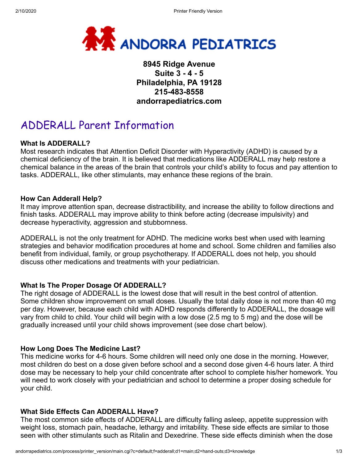

## **8945 Ridge Avenue Suite 3 - 4 - 5 Philadelphia, PA 19128 215-483-8558 andorrapediatrics.com**

# ADDERALL Parent Information

#### **What Is ADDERALL?**

Most research indicates that Attention Deficit Disorder with Hyperactivity (ADHD) is caused by a chemical deficiency of the brain. It is believed that medications like ADDERALL may help restore a chemical balance in the areas of the brain that controls your child's ability to focus and pay attention to tasks. ADDERALL, like other stimulants, may enhance these regions of the brain.

#### **How Can Adderall Help?**

It may improve attention span, decrease distractibility, and increase the ability to follow directions and finish tasks. ADDERALL may improve ability to think before acting (decrease impulsivity) and decrease hyperactivity, aggression and stubbornness.

ADDERALL is not the only treatment for ADHD. The medicine works best when used with learning strategies and behavior modification procedures at home and school. Some children and families also benefit from individual, family, or group psychotherapy. If ADDERALL does not help, you should discuss other medications and treatments with your pediatrician.

#### **What Is The Proper Dosage Of ADDERALL?**

The right dosage of ADDERALL is the lowest dose that will result in the best control of attention. Some children show improvement on small doses. Usually the total daily dose is not more than 40 mg per day. However, because each child with ADHD responds differently to ADDERALL, the dosage will vary from child to child. Your child will begin with a low dose (2.5 mg to 5 mg) and the dose will be gradually increased until your child shows improvement (see dose chart below).

#### **How Long Does The Medicine Last?**

This medicine works for 4-6 hours. Some children will need only one dose in the morning. However, most children do best on a dose given before school and a second dose given 4-6 hours later. A third dose may be necessary to help your child concentrate after school to complete his/her homework. You will need to work closely with your pediatrician and school to determine a proper dosing schedule for your child.

#### **What Side Effects Can ADDERALL Have?**

The most common side effects of ADDERALL are difficulty falling asleep, appetite suppression with weight loss, stomach pain, headache, lethargy and irritability. These side effects are similar to those seen with other stimulants such as Ritalin and Dexedrine. These side effects diminish when the dose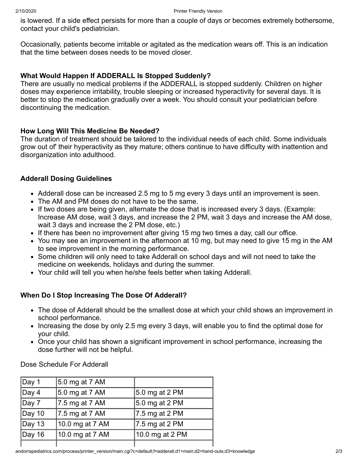is lowered. If a side effect persists for more than a couple of days or becomes extremely bothersome, contact your child's pediatrician.

Occasionally, patients become irritable or agitated as the medication wears off. This is an indication that the time between doses needs to be moved closer.

#### **What Would Happen If ADDERALL Is Stopped Suddenly?**

There are usually no medical problems if the ADDERALL is stopped suddenly. Children on higher doses may experience irritability, trouble sleeping or increased hyperactivity for several days. It is better to stop the medication gradually over a week. You should consult your pediatrician before discontinuing the medication.

### **How Long Will This Medicine Be Needed?**

The duration of treatment should be tailored to the individual needs of each child. Some individuals grow out of' their hyperactivity as they mature; others continue to have difficulty with inattention and disorganization into adulthood.

### **Adderall Dosing Guidelines**

- Adderall dose can be increased 2.5 mg to 5 mg every 3 days until an improvement is seen.
- The AM and PM doses do not have to be the same.
- If two doses are being given, alternate the dose that is increased every 3 days. (Example: Increase AM dose, wait 3 days, and increase the 2 PM, wait 3 days and increase the AM dose, wait 3 days and increase the 2 PM dose, etc.)
- If there has been no improvement after giving 15 mg two times a day, call our office.
- You may see an improvement in the afternoon at 10 mg, but may need to give 15 mg in the AM to see improvement in the morning performance.
- Some children will only need to take Adderall on school days and will not need to take the medicine on weekends, holidays and during the summer.
- Your child will tell you when he/she feels better when taking Adderall.

## **When Do I Stop Increasing The Dose Of Adderall?**

- The dose of Adderall should be the smallest dose at which your child shows an improvement in school performance.
- Increasing the dose by only 2.5 mg every 3 days, will enable you to find the optimal dose for your child.
- Once your child has shown a significant improvement in school performance, increasing the dose further will not be helpful.

Dose Schedule For Adderall

| Day 1          | 5.0 mg at 7 AM  |                 |
|----------------|-----------------|-----------------|
| $ $ Day 4      | 5.0 mg at 7 AM  | 5.0 mg at 2 PM  |
| $ $ Day 7      | 7.5 mg at 7 AM  | 5.0 mg at 2 PM  |
| $\vert$ Day 10 | 7.5 mg at 7 AM  | 7.5 mg at 2 PM  |
| $ $ Day 13     | 10.0 mg at 7 AM | 7.5 mg at 2 PM  |
| Day 16         | 10.0 mg at 7 AM | 10.0 mg at 2 PM |
|                |                 |                 |